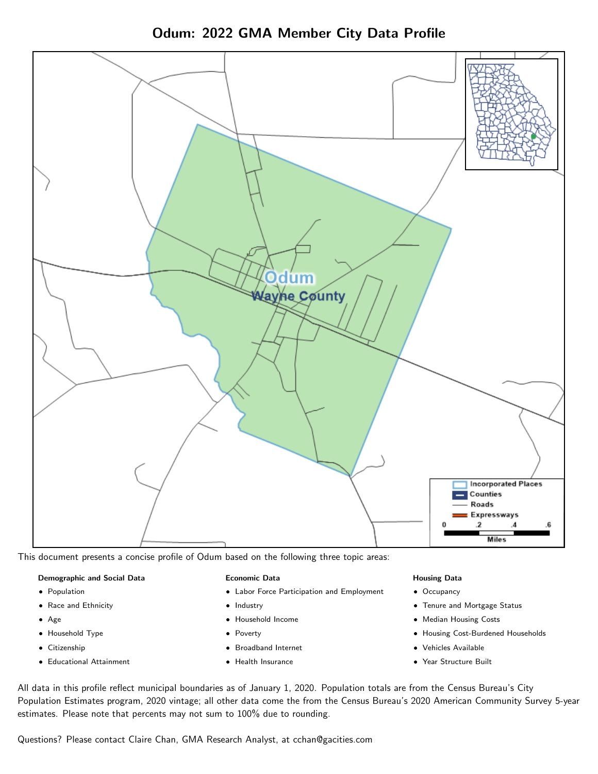Odum: 2022 GMA Member City Data Profile



This document presents a concise profile of Odum based on the following three topic areas:

## Demographic and Social Data

- **•** Population
- Race and Ethnicity
- Age
- Household Type
- **Citizenship**
- Educational Attainment

## Economic Data

- Labor Force Participation and Employment
- Industry
- Household Income
- Poverty
- Broadband Internet
- Health Insurance

## Housing Data

- Occupancy
- Tenure and Mortgage Status
- Median Housing Costs
- Housing Cost-Burdened Households
- Vehicles Available
- Year Structure Built

All data in this profile reflect municipal boundaries as of January 1, 2020. Population totals are from the Census Bureau's City Population Estimates program, 2020 vintage; all other data come the from the Census Bureau's 2020 American Community Survey 5-year estimates. Please note that percents may not sum to 100% due to rounding.

Questions? Please contact Claire Chan, GMA Research Analyst, at [cchan@gacities.com.](mailto:cchan@gacities.com)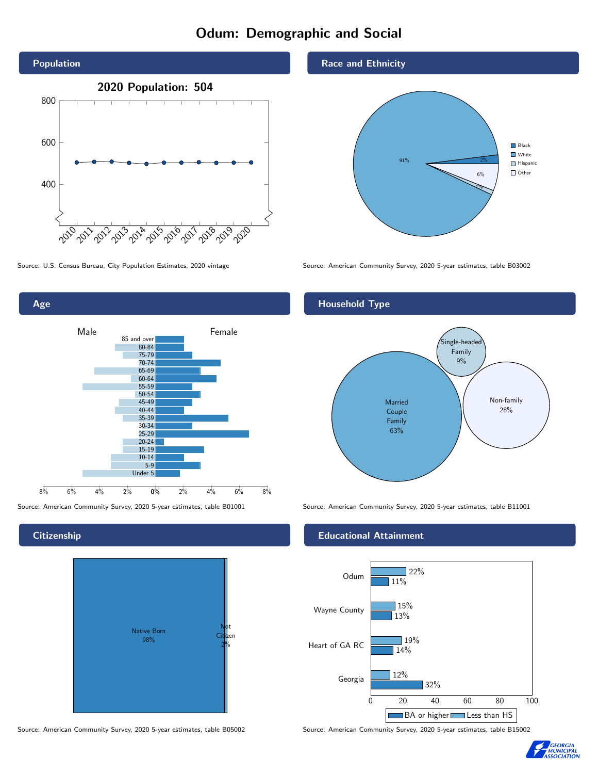# Odum: Demographic and Social



Age 0% 2% 4% 6% 8% Male **Female** Female 8% 6% 4% 2% 85 and over 80-84 75-79 70-74 65-69 60-64 55-59 50-54 45-49 40-44 35-39 30-34 25-29 20-24 15-19  $10-14$ 5-9 Under 5

## **Citizenship**



Source: American Community Survey, 2020 5-year estimates, table B05002 Source: American Community Survey, 2020 5-year estimates, table B15002

## Race and Ethnicity



Source: U.S. Census Bureau, City Population Estimates, 2020 vintage Source: American Community Survey, 2020 5-year estimates, table B03002

## Household Type



Source: American Community Survey, 2020 5-year estimates, table B01001 Source: American Community Survey, 2020 5-year estimates, table B11001

## Educational Attainment



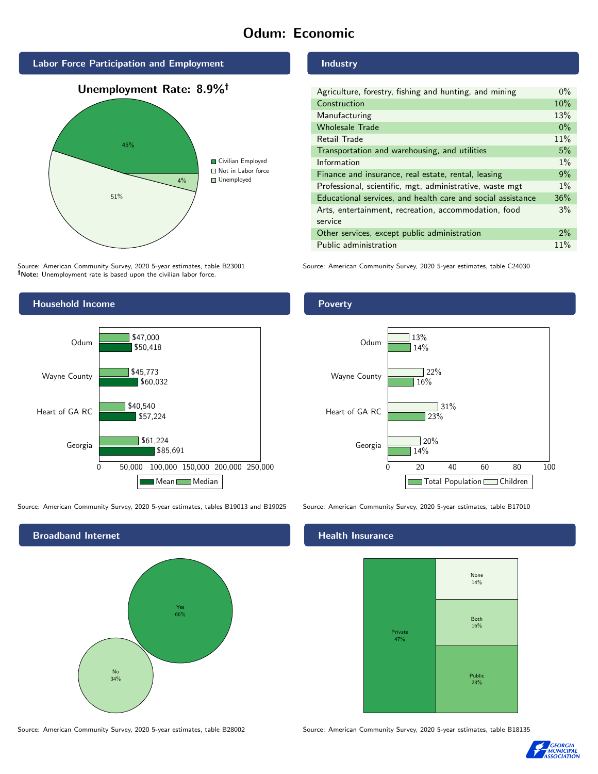# Odum: Economic



Source: American Community Survey, 2020 5-year estimates, table B23001 Note: Unemployment rate is based upon the civilian labor force.



Source: American Community Survey, 2020 5-year estimates, tables B19013 and B19025 Source: American Community Survey, 2020 5-year estimates, table B17010



Source: American Community Survey, 2020 5-year estimates, table B28002 Source: American Community Survey, 2020 5-year estimates, table B18135

Industry

Poverty

| Agriculture, forestry, fishing and hunting, and mining      | $0\%$ |
|-------------------------------------------------------------|-------|
| Construction                                                | 10%   |
| Manufacturing                                               | 13%   |
| <b>Wholesale Trade</b>                                      | $0\%$ |
| Retail Trade                                                | 11%   |
| Transportation and warehousing, and utilities               | 5%    |
| Information                                                 | $1\%$ |
| Finance and insurance, real estate, rental, leasing         | 9%    |
| Professional, scientific, mgt, administrative, waste mgt    | $1\%$ |
| Educational services, and health care and social assistance | 36%   |
| Arts, entertainment, recreation, accommodation, food        | 3%    |
| service                                                     |       |
| Other services, except public administration                | $2\%$ |
| Public administration                                       | 11%   |

Source: American Community Survey, 2020 5-year estimates, table C24030



# **Health Insurance**